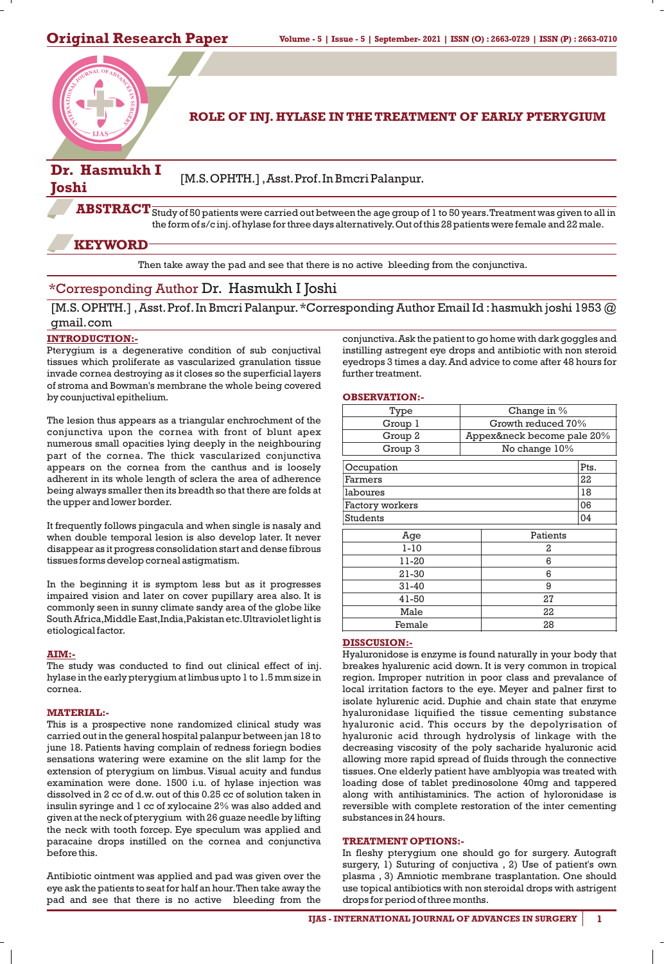

**ROLE OF INJ. HYLASE IN THE TREATMENT OF EARLY PTERYGIUM** 

# **Dr. Hasmukh I**

**Joshi** [M.S.OPHTH.], Asst. Prof. In Bmcri Palanpur.

 $\bf ABSTRACT$   $\overline{\rm Study}$  of 50 patients were carried out between the age group of 1 to 50 years. Treatment was given to all in the form of s/c inj.of hylase for three days alternatively.Out of this 28 patients were female and 22 male.

## **KEYWORD**

Then take away the pad and see that there is no active bleeding from the conjunctiva.

# \*Corresponding Author Dr. Hasmukh I Joshi

[M.S. OPHTH.], Asst. Prof. In Bmcri Palanpur. \* Corresponding Author Email Id: hasmukh joshi 1953 @ gmail.com

### **INTRODUCTION:-**

Ptervgium is a degenerative condition of sub conjuctival tissues which proliferate as vascularized granulation tissue invade cornea destroying as it closes so the superficial layers of stroma and Bowman's membrane the whole being covered by counjuctival epithelium.

The lesion thus appears as a triangular enchrochment of the conjunctiva upon the cornea with front of blunt apex numerous small opacities lying deeply in the neighbouring part of the cornea. The thick vascularized conjunctiva appears on the cornea from the canthus and is loosely adherent in its whole length of sclera the area of adherence being always smaller then its breadth so that there are folds at the upper and lower border.

It frequently follows pingacula and when single is nasaly and when double temporal lesion is also develop later. It never disappear as it progress consolidation start and dense fibrous tissues forms develop corneal astigmatism.

In the beginning it is symptom less but as it progresses impaired vision and later on cover pupillary area also. It is commonly seen in sunny climate sandy area of the globe like South Africa,Middle East,India,Pakistan etc.Ultraviolet light is etiological factor.

#### **AIM:-**

The study was conducted to find out clinical effect of inj. hylase in the early pterygium at limbus upto 1 to 1.5 mm size in cornea.

#### **MATERIAL:-**

This is a prospective none randomized clinical study was carried out in the general hospital palanpur between jan 18 to june 18. Patients having complain of redness foriegn bodies sensations watering were examine on the slit lamp for the extension of pterygium on limbus. Visual acuity and fundus examination were done. 1500 i.u. of hylase injection was dissolved in 2 cc of d.w. out of this 0.25 cc of solution taken in insulin syringe and 1 cc of xylocaine 2% was also added and given at the neck of pterygium with 26 guaze needle by lifting the neck with tooth forcep. Eye speculum was applied and paracaine drops instilled on the cornea and conjunctiva before this.

Antibiotic ointment was applied and pad was given over the eye ask the patients to seat for half an hour.Then take away the pad and see that there is no active bleeding from the

conjunctiva.Ask the patient to go home with dark goggles and instilling astregent eye drops and antibiotic with non steroid eyedrops 3 times a day.And advice to come after 48 hours for further treatment.

#### **OBSERVATION:-**

| Type            | Change in %                |
|-----------------|----------------------------|
| Group 1         | Growth reduced 70%         |
| Group 2         | Appex&neck become pale 20% |
| Group 3         | No change 10%              |
| Occupation      | Pts.                       |
| Farmers         | 22                         |
| laboures        | 18                         |
| Factory workers | 06                         |
| <b>Students</b> | 04                         |
| Age             | Patients                   |
| $1 - 10$        | 2                          |
| 11-20           | 6                          |
| 21-30           | 6                          |
| $31 - 40$       | 9                          |
| 41-50           | 27                         |
| Male            | 22                         |
| Female          | 28                         |

#### **DISSCUSION:-**

Hyaluronidose is enzyme is found naturally in your body that breakes hyalurenic acid down. It is very common in tropical region. Improper nutrition in poor class and prevalance of local irritation factors to the eye. Meyer and palner first to isolate hylurenic acid. Duphie and chain state that enzyme hyaluronidase liquified the tissue cementing substance hyaluronic acid. This occurs by the depolyrisation of hyaluronic acid through hydrolysis of linkage with the decreasing viscosity of the poly sacharide hyaluronic acid allowing more rapid spread of fluids through the connective tissues. One elderly patient have amblyopia was treated with loading dose of tablet predinosolone 40mg and tappered along with antihistaminics. The action of hyloronidase is reversible with complete restoration of the inter cementing substances in 24 hours.

#### **TREATMENT OPTIONS:-**

In fleshy pterygium one should go for surgery. Autograft surgery, 1) Suturing of conjuctiva , 2) Use of patient's own plasma , 3) Amniotic membrane trasplantation. One should use topical antibiotics with non steroidal drops with astrigent drops for period of three months.